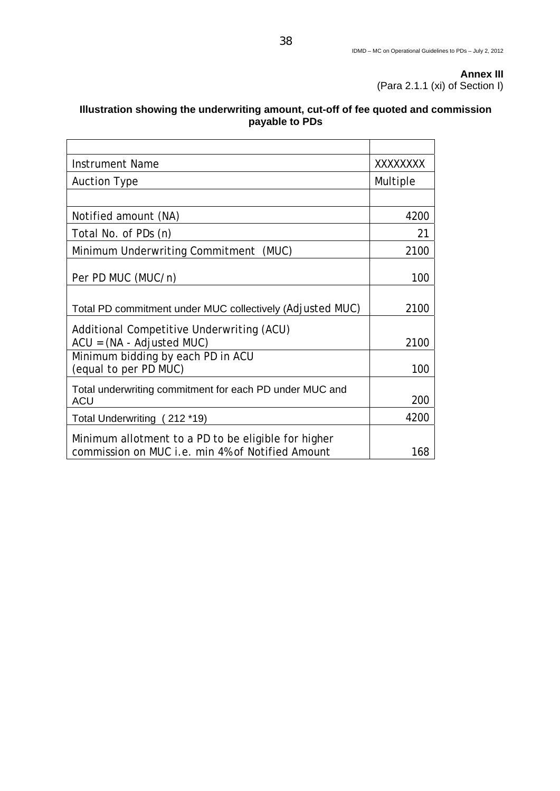## **Illustration showing the underwriting amount, cut-off of fee quoted and commission payable to PDs**

| <b>Instrument Name</b>                                                                                  | XXXXXXXX |
|---------------------------------------------------------------------------------------------------------|----------|
| <b>Auction Type</b>                                                                                     | Multiple |
|                                                                                                         |          |
| Notified amount (NA)                                                                                    | 4200     |
| Total No. of PDs (n)                                                                                    | 21       |
| Minimum Underwriting Commitment (MUC)                                                                   | 2100     |
| Per PD MUC (MUC/n)                                                                                      | 100      |
| Total PD commitment under MUC collectively (Adjusted MUC)                                               | 2100     |
| Additional Competitive Underwriting (ACU)<br>$ACU = (NA - Adjusted MUC)$                                | 2100     |
| Minimum bidding by each PD in ACU<br>(equal to per PD MUC)                                              | 100      |
| Total underwriting commitment for each PD under MUC and<br><b>ACU</b>                                   | 200      |
| Total Underwriting (212 *19)                                                                            | 4200     |
| Minimum allotment to a PD to be eligible for higher<br>commission on MUC i.e. min 4% of Notified Amount | 168      |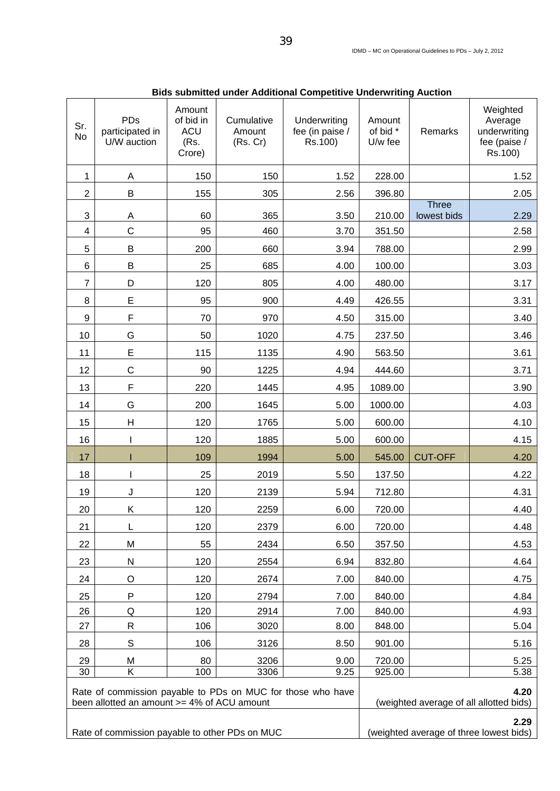| Sr.<br>No                                                                                                  | <b>PDs</b><br>participated in<br>U/W auction | Amount<br>of bid in<br><b>ACU</b><br>(Rs.<br>Crore) | Cumulative<br>Amount<br>(Rs. Cr) | Underwriting<br>fee (in paise /<br>Rs.100)      | Amount<br>of bid *<br>U/w fee                   | Remarks                     | Weighted<br>Average<br>underwriting<br>fee (paise /<br>Rs.100) |  |
|------------------------------------------------------------------------------------------------------------|----------------------------------------------|-----------------------------------------------------|----------------------------------|-------------------------------------------------|-------------------------------------------------|-----------------------------|----------------------------------------------------------------|--|
| 1                                                                                                          | Α                                            | 150                                                 | 150                              | 1.52                                            | 228.00                                          |                             | 1.52                                                           |  |
| $\overline{c}$                                                                                             | B                                            | 155                                                 | 305                              | 2.56                                            | 396.80                                          |                             | 2.05                                                           |  |
| 3                                                                                                          | A                                            | 60                                                  | 365                              | 3.50                                            | 210.00                                          | <b>Three</b><br>lowest bids | 2.29                                                           |  |
| 4                                                                                                          | $\mathsf C$                                  | 95                                                  | 460                              | 3.70                                            | 351.50                                          |                             | 2.58                                                           |  |
| 5                                                                                                          | B                                            | 200                                                 | 660                              | 3.94                                            | 788.00                                          |                             | 2.99                                                           |  |
| 6                                                                                                          | B                                            | 25                                                  | 685                              | 4.00                                            | 100.00                                          |                             | 3.03                                                           |  |
| $\overline{7}$                                                                                             | D                                            | 120                                                 | 805                              | 4.00                                            | 480.00                                          |                             | 3.17                                                           |  |
| 8                                                                                                          | E                                            | 95                                                  | 900                              | 4.49                                            | 426.55                                          |                             | 3.31                                                           |  |
| 9                                                                                                          | F                                            | 70                                                  | 970                              | 4.50                                            | 315.00                                          |                             | 3.40                                                           |  |
| 10                                                                                                         | G                                            | 50                                                  | 1020                             | 4.75                                            | 237.50                                          |                             | 3.46                                                           |  |
| 11                                                                                                         | E                                            | 115                                                 | 1135                             | 4.90                                            | 563.50                                          |                             | 3.61                                                           |  |
| 12                                                                                                         | $\mathsf C$                                  | 90                                                  | 1225                             | 4.94                                            | 444.60                                          |                             | 3.71                                                           |  |
| 13                                                                                                         | F                                            | 220                                                 | 1445                             | 4.95                                            | 1089.00                                         |                             | 3.90                                                           |  |
| 14                                                                                                         | G                                            | 200                                                 | 1645                             | 5.00                                            | 1000.00                                         |                             | 4.03                                                           |  |
| 15                                                                                                         | H                                            | 120                                                 | 1765                             | 5.00                                            | 600.00                                          |                             | 4.10                                                           |  |
| 16                                                                                                         | ı                                            | 120                                                 | 1885                             | 5.00                                            | 600.00                                          |                             | 4.15                                                           |  |
| 17                                                                                                         |                                              | 109                                                 | 1994                             | 5.00                                            | 545.00                                          | <b>CUT-OFF</b>              | 4.20                                                           |  |
| 18                                                                                                         |                                              | 25                                                  | 2019                             | 5.50                                            | 137.50                                          |                             | 4.22                                                           |  |
| 19                                                                                                         | J                                            | 120                                                 | 2139                             | 5.94                                            | 712.80                                          |                             | 4.31                                                           |  |
| 20                                                                                                         | Κ                                            | 120                                                 | 2259                             | 6.00                                            | 720.00                                          |                             | 4.40                                                           |  |
| 21                                                                                                         | L                                            | 120                                                 | 2379                             | 6.00                                            | 720.00                                          |                             | 4.48                                                           |  |
| 22                                                                                                         | M                                            | 55                                                  | 2434                             | 6.50                                            | 357.50                                          |                             | 4.53                                                           |  |
| 23                                                                                                         | N                                            | 120                                                 | 2554                             | 6.94                                            | 832.80                                          |                             | 4.64                                                           |  |
| 24                                                                                                         | O                                            | 120                                                 | 2674                             | 7.00                                            | 840.00                                          |                             | 4.75                                                           |  |
| 25                                                                                                         | P                                            | 120                                                 | 2794                             | 7.00                                            | 840.00                                          |                             | 4.84                                                           |  |
| 26                                                                                                         | Q                                            | 120                                                 | 2914                             | 7.00                                            | 840.00                                          |                             | 4.93                                                           |  |
| 27                                                                                                         | ${\sf R}$                                    | 106                                                 | 3020                             | 8.00                                            | 848.00                                          |                             | 5.04                                                           |  |
| 28                                                                                                         | $\mathbb S$                                  | 106                                                 | 3126                             | 8.50                                            | 901.00                                          |                             | 5.16                                                           |  |
| 29                                                                                                         | M                                            | 80                                                  | 3206                             | 9.00                                            | 720.00                                          |                             | 5.25                                                           |  |
| 30                                                                                                         | Κ                                            | 100                                                 | 3306                             | 9.25                                            | 925.00                                          |                             | 5.38                                                           |  |
| Rate of commission payable to PDs on MUC for those who have<br>been allotted an amount >= 4% of ACU amount |                                              |                                                     |                                  | 4.20<br>(weighted average of all allotted bids) |                                                 |                             |                                                                |  |
| Rate of commission payable to other PDs on MUC                                                             |                                              |                                                     |                                  |                                                 | 2.29<br>(weighted average of three lowest bids) |                             |                                                                |  |

**Bids submitted under Additional Competitive Underwriting Auction**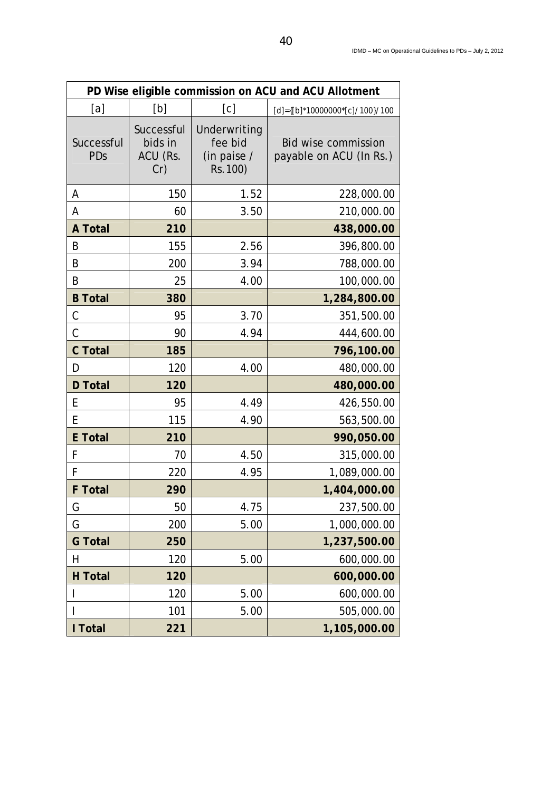| PD Wise eligible commission on ACU and ACU Allotment |                                          |                                                    |                                                       |  |  |
|------------------------------------------------------|------------------------------------------|----------------------------------------------------|-------------------------------------------------------|--|--|
| [a]                                                  | [b]                                      | [c]                                                | $[d] = \{ [b]^* 10000000^* [c]/100 \} / 100$          |  |  |
| Successful<br>PDs                                    | Successful<br>bids in<br>ACU (Rs.<br>Cr) | Underwriting<br>fee bid<br>(in paise /<br>Rs. 100) | <b>Bid wise commission</b><br>payable on ACU (In Rs.) |  |  |
| Α                                                    | 150                                      | 1.52                                               | 228,000.00                                            |  |  |
| Α                                                    | 60                                       | 3.50                                               | 210,000.00                                            |  |  |
| <b>A Total</b>                                       | 210                                      |                                                    | 438,000.00                                            |  |  |
| B                                                    | 155                                      | 2.56                                               | 396,800.00                                            |  |  |
| B                                                    | 200                                      | 3.94                                               | 788,000.00                                            |  |  |
| B                                                    | 25                                       | 4.00                                               | 100,000.00                                            |  |  |
| <b>B</b> Total                                       | 380                                      |                                                    | 1,284,800.00                                          |  |  |
| C                                                    | 95                                       | 3.70                                               | 351,500.00                                            |  |  |
| $\mathcal{C}$                                        | 90                                       | 4.94                                               | 444,600.00                                            |  |  |
| <b>C</b> Total                                       | 185                                      |                                                    | 796,100.00                                            |  |  |
| D                                                    | 120                                      | 4.00                                               | 480,000.00                                            |  |  |
| <b>D</b> Total                                       | 120                                      |                                                    | 480,000.00                                            |  |  |
| Е                                                    | 95                                       | 4.49                                               | 426,550.00                                            |  |  |
| E                                                    | 115                                      | 4.90                                               | 563,500.00                                            |  |  |
| <b>E</b> Total                                       | 210                                      |                                                    | 990,050.00                                            |  |  |
| F                                                    | 70                                       | 4.50                                               | 315,000.00                                            |  |  |
| F                                                    | 220                                      | 4.95                                               | 1,089,000.00                                          |  |  |
| <b>F</b> Total                                       | 290                                      |                                                    | 1,404,000.00                                          |  |  |
| G                                                    | 50                                       | 4.75                                               | 237,500.00                                            |  |  |
| G                                                    | 200                                      | 5.00                                               | 1,000,000.00                                          |  |  |
| <b>G</b> Total                                       | 250                                      |                                                    | 1,237,500.00                                          |  |  |
| Η                                                    | 120                                      | 5.00                                               | 600,000.00                                            |  |  |
| <b>H</b> Total                                       | 120                                      |                                                    | 600,000.00                                            |  |  |
|                                                      | 120                                      | 5.00                                               | 600,000.00                                            |  |  |
|                                                      | 101                                      | 5.00                                               | 505,000.00                                            |  |  |
| I Total                                              | 221                                      |                                                    | 1,105,000.00                                          |  |  |